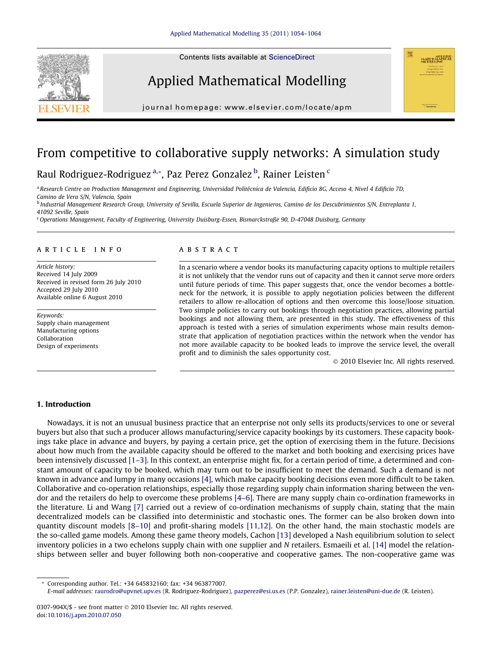Contents lists available at [ScienceDirect](http://www.sciencedirect.com/science/journal/0307904X)







journal homepage: [www.elsevier.com/locate/apm](http://www.elsevier.com/locate/apm)

## From competitive to collaborative supply networks: A simulation study

### Raul Rodriguez-Rodriguez<sup>a,</sup>\*, Paz Perez Gonzalez <sup>b</sup>, Rainer Leisten <sup>c</sup>

a Research Centre on Production Management and Engineering, Universidad Politécnica de Valencia, Edificio 8G, Acceso 4, Nivel 4 Edificio 7D, Camino de Vera S/N, Valencia, Spain

<sup>b</sup> Industrial Management Research Group, University of Sevilla, Escuela Superior de Ingenieros, Camino de los Descubrimientos S/N, Entreplanta 1, 41092 Seville, Spain

<sup>c</sup>Operations Management, Faculty of Engineering, University Duisburg-Essen, Bismarckstraße 90, D-47048 Duisburg, Germany

#### article info

Article history: Received 14 July 2009 Received in revised form 26 July 2010 Accepted 29 July 2010 Available online 6 August 2010

Keywords: Supply chain management Manufacturing options Collaboration Design of experiments

#### **ABSTRACT**

In a scenario where a vendor books its manufacturing capacity options to multiple retailers it is not unlikely that the vendor runs out of capacity and then it cannot serve more orders until future periods of time. This paper suggests that, once the vendor becomes a bottleneck for the network, it is possible to apply negotiation policies between the different retailers to allow re-allocation of options and then overcome this loose/loose situation. Two simple policies to carry out bookings through negotiation practices, allowing partial bookings and not allowing them, are presented in this study. The effectiveness of this approach is tested with a series of simulation experiments whose main results demonstrate that application of negotiation practices within the network when the vendor has not more available capacity to be booked leads to improve the service level, the overall profit and to diminish the sales opportunity cost.

- 2010 Elsevier Inc. All rights reserved.

#### 1. Introduction

Nowadays, it is not an unusual business practice that an enterprise not only sells its products/services to one or several buyers but also that such a producer allows manufacturing/service capacity bookings by its customers. These capacity bookings take place in advance and buyers, by paying a certain price, get the option of exercising them in the future. Decisions about how much from the available capacity should be offered to the market and both booking and exercising prices have been intensively discussed [\[1–3\].](#page--1-0) In this context, an enterprise might fix, for a certain period of time, a determined and constant amount of capacity to be booked, which may turn out to be insufficient to meet the demand. Such a demand is not known in advance and lumpy in many occasions [\[4\],](#page--1-0) which make capacity booking decisions even more difficult to be taken. Collaborative and co-operation relationships, especially those regarding supply chain information sharing between the vendor and the retailers do help to overcome these problems [\[4–6\].](#page--1-0) There are many supply chain co-ordination frameworks in the literature. Li and Wang [\[7\]](#page--1-0) carried out a review of co-ordination mechanisms of supply chain, stating that the main decentralized models can be classified into deterministic and stochastic ones. The former can be also broken down into quantity discount models [\[8–10\]](#page--1-0) and profit-sharing models [\[11,12\]](#page--1-0). On the other hand, the main stochastic models are the so-called game models. Among these game theory models, Cachon [\[13\]](#page--1-0) developed a Nash equilibrium solution to select inventory policies in a two echelons supply chain with one supplier and N retailers. Esmaeili et al. [\[14\]](#page--1-0) model the relationships between seller and buyer following both non-cooperative and cooperative games. The non-cooperative game was

\* Corresponding author. Tel.: +34 645832160; fax: +34 963877007.

E-mail addresses: [raurodro@upvnet.upv.es](mailto:raurodro@upvnet.upv.es) (R. Rodriguez-Rodriguez), [pazperez@esi.us.es](mailto:pazperez@esi.us.es) (P.P. Gonzalez), [rainer.leisten@uni-due.de](mailto:rainer.leisten@uni-due.de) (R. Leisten).

<sup>0307-904</sup>X/\$ - see front matter © 2010 Elsevier Inc. All rights reserved. doi[:10.1016/j.apm.2010.07.050](http://dx.doi.org/10.1016/j.apm.2010.07.050)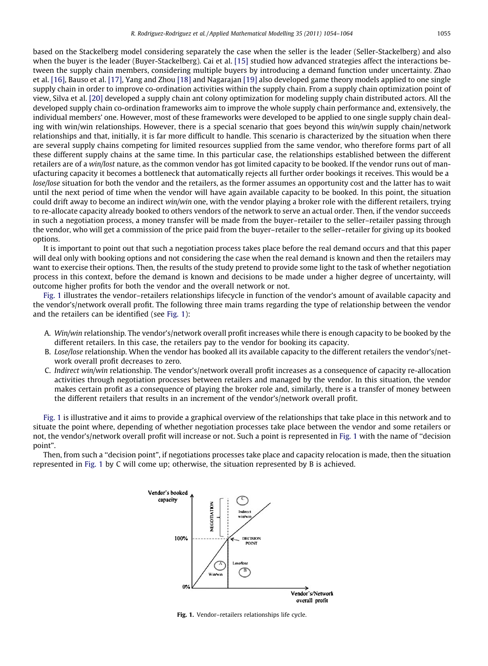based on the Stackelberg model considering separately the case when the seller is the leader (Seller-Stackelberg) and also when the buyer is the leader (Buyer-Stackelberg). Cai et al. [\[15\]](#page--1-0) studied how advanced strategies affect the interactions between the supply chain members, considering multiple buyers by introducing a demand function under uncertainty. Zhao et al. [\[16\]](#page--1-0), Bauso et al. [\[17\]](#page--1-0), Yang and Zhou [\[18\]](#page--1-0) and Nagarajan [\[19\]](#page--1-0) also developed game theory models applied to one single supply chain in order to improve co-ordination activities within the supply chain. From a supply chain optimization point of view, Silva et al. [\[20\]](#page--1-0) developed a supply chain ant colony optimization for modeling supply chain distributed actors. All the developed supply chain co-ordination frameworks aim to improve the whole supply chain performance and, extensively, the individual members' one. However, most of these frameworks were developed to be applied to one single supply chain dealing with win/win relationships. However, there is a special scenario that goes beyond this win/win supply chain/network relationships and that, initially, it is far more difficult to handle. This scenario is characterized by the situation when there are several supply chains competing for limited resources supplied from the same vendor, who therefore forms part of all these different supply chains at the same time. In this particular case, the relationships established between the different retailers are of a win/lost nature, as the common vendor has got limited capacity to be booked. If the vendor runs out of manufacturing capacity it becomes a bottleneck that automatically rejects all further order bookings it receives. This would be a lose/lose situation for both the vendor and the retailers, as the former assumes an opportunity cost and the latter has to wait until the next period of time when the vendor will have again available capacity to be booked. In this point, the situation could drift away to become an indirect win/win one, with the vendor playing a broker role with the different retailers, trying to re-allocate capacity already booked to others vendors of the network to serve an actual order. Then, if the vendor succeeds in such a negotiation process, a money transfer will be made from the buyer–retailer to the seller–retailer passing through the vendor, who will get a commission of the price paid from the buyer–retailer to the seller–retailer for giving up its booked options.

It is important to point out that such a negotiation process takes place before the real demand occurs and that this paper will deal only with booking options and not considering the case when the real demand is known and then the retailers may want to exercise their options. Then, the results of the study pretend to provide some light to the task of whether negotiation process in this context, before the demand is known and decisions to be made under a higher degree of uncertainty, will outcome higher profits for both the vendor and the overall network or not.

Fig. 1 illustrates the vendor–retailers relationships lifecycle in function of the vendor's amount of available capacity and the vendor's/network overall profit. The following three main trams regarding the type of relationship between the vendor and the retailers can be identified (see Fig. 1):

- A. Win/win relationship. The vendor's/network overall profit increases while there is enough capacity to be booked by the different retailers. In this case, the retailers pay to the vendor for booking its capacity.
- B. Lose/lose relationship. When the vendor has booked all its available capacity to the different retailers the vendor's/network overall profit decreases to zero.
- C. Indirect win/win relationship. The vendor's/network overall profit increases as a consequence of capacity re-allocation activities through negotiation processes between retailers and managed by the vendor. In this situation, the vendor makes certain profit as a consequence of playing the broker role and, similarly, there is a transfer of money between the different retailers that results in an increment of the vendor's/network overall profit.

Fig. 1 is illustrative and it aims to provide a graphical overview of the relationships that take place in this network and to situate the point where, depending of whether negotiation processes take place between the vendor and some retailers or not, the vendor's/network overall profit will increase or not. Such a point is represented in Fig. 1 with the name of ''decision point".

Then, from such a ''decision point", if negotiations processes take place and capacity relocation is made, then the situation represented in Fig. 1 by C will come up; otherwise, the situation represented by B is achieved.



Fig. 1. Vendor–retailers relationships life cycle.